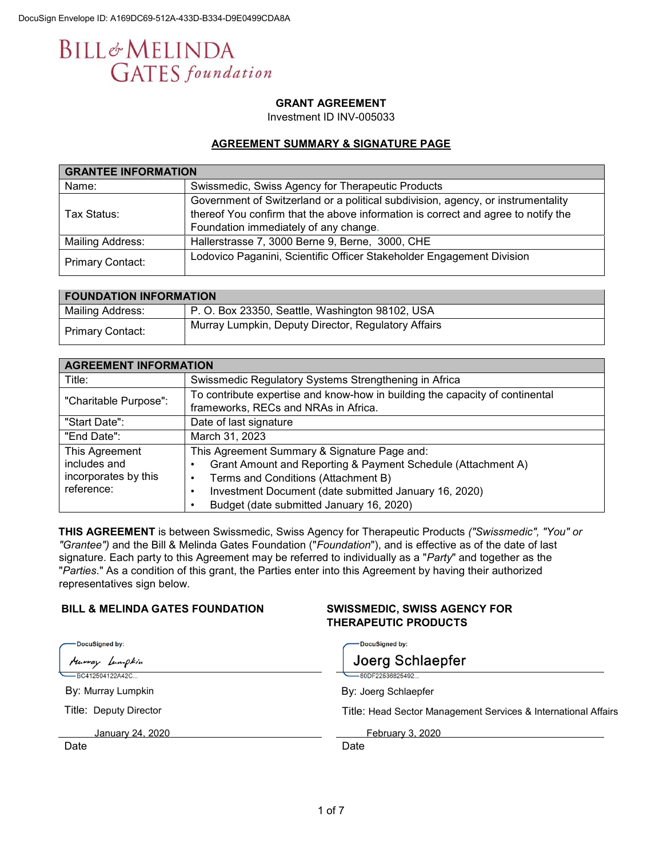# **BILL**&MELINDA **GATES** foundation

# **GRANT AGREEMENT**

Investment ID INV-005033

### **AGREEMENT SUMMARY & SIGNATURE PAGE**

| <b>GRANTEE INFORMATION</b> |                                                                                                                                                                                                                |  |  |  |
|----------------------------|----------------------------------------------------------------------------------------------------------------------------------------------------------------------------------------------------------------|--|--|--|
| Name:                      | Swissmedic, Swiss Agency for Therapeutic Products                                                                                                                                                              |  |  |  |
| Tax Status:                | Government of Switzerland or a political subdivision, agency, or instrumentality<br>thereof You confirm that the above information is correct and agree to notify the<br>Foundation immediately of any change. |  |  |  |
| Mailing Address:           | Hallerstrasse 7, 3000 Berne 9, Berne, 3000, CHE                                                                                                                                                                |  |  |  |
| Primary Contact:           | Lodovico Paganini, Scientific Officer Stakeholder Engagement Division                                                                                                                                          |  |  |  |

| <b>FOUNDATION INFORMATION</b> |                                                     |  |  |  |
|-------------------------------|-----------------------------------------------------|--|--|--|
| Mailing Address:              | P. O. Box 23350, Seattle, Washington 98102, USA     |  |  |  |
| <b>Primary Contact:</b>       | Murray Lumpkin, Deputy Director, Regulatory Affairs |  |  |  |

| <b>AGREEMENT INFORMATION</b> |                                                                                                                      |  |  |  |
|------------------------------|----------------------------------------------------------------------------------------------------------------------|--|--|--|
| Title:                       | Swissmedic Regulatory Systems Strengthening in Africa                                                                |  |  |  |
| "Charitable Purpose":        | To contribute expertise and know-how in building the capacity of continental<br>frameworks, RECs and NRAs in Africa. |  |  |  |
| "Start Date":                | Date of last signature                                                                                               |  |  |  |
| "End Date":                  | March 31, 2023                                                                                                       |  |  |  |
| This Agreement               | This Agreement Summary & Signature Page and:                                                                         |  |  |  |
| includes and                 | Grant Amount and Reporting & Payment Schedule (Attachment A)                                                         |  |  |  |
| incorporates by this         | Terms and Conditions (Attachment B)<br>$\bullet$                                                                     |  |  |  |
| reference:                   | Investment Document (date submitted January 16, 2020)                                                                |  |  |  |
|                              | Budget (date submitted January 16, 2020)                                                                             |  |  |  |

**THIS AGREEMENT** is between Swissmedic, Swiss Agency for Therapeutic Products *("Swissmedic", "You" or "Grantee")* and the Bill & Melinda Gates Foundation ("*Foundation*"), and is effective as of the date of last signature. Each party to this Agreement may be referred to individually as a "*Party*" and together as the "*Parties*." As a condition of this grant, the Parties enter into this Agreement by having their authorized representatives sign below.

# **BILL & MELINDA GATES FOUNDATION SWISSMEDIC, SWISS AGENCY FOR**

# **THERAPEUTIC PRODUCTS**

| ─ DocuSigned by:          | DocuSigned by:                                                 |  |
|---------------------------|----------------------------------------------------------------|--|
| Marray Lampkin            | Joerg Schlaepfer                                               |  |
| $-C412504122A42C$         | -80DF22536825492                                               |  |
| By: Murray Lumpkin        | By: Joerg Schlaepfer                                           |  |
| Title: Deputy Director    | Title: Head Sector Management Services & International Affairs |  |
| <u> January 24. 2020 </u> | February 3, 2020                                               |  |
| Date                      | Date                                                           |  |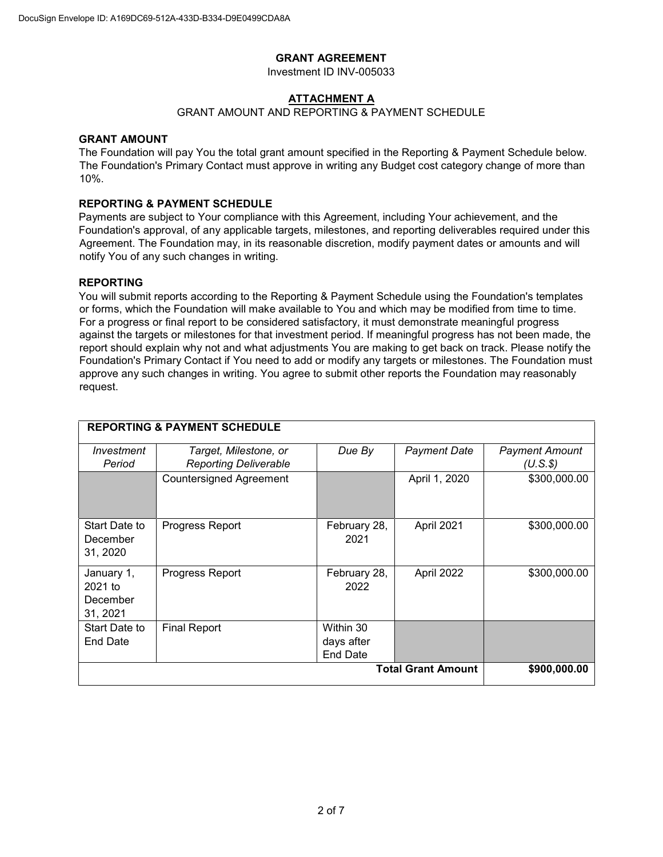# **GRANT AGREEMENT**

Investment ID INV-005033

# **ATTACHMENT A**

# GRANT AMOUNT AND REPORTING & PAYMENT SCHEDULE

# **GRANT AMOUNT**

The Foundation will pay You the total grant amount specified in the Reporting & Payment Schedule below. The Foundation's Primary Contact must approve in writing any Budget cost category change of more than 10%.

#### **REPORTING & PAYMENT SCHEDULE**

Payments are subject to Your compliance with this Agreement, including Your achievement, and the Foundation's approval, of any applicable targets, milestones, and reporting deliverables required under this Agreement. The Foundation may, in its reasonable discretion, modify payment dates or amounts and will notify You of any such changes in writing.

#### **REPORTING**

You will submit reports according to the Reporting & Payment Schedule using the Foundation's templates or forms, which the Foundation will make available to You and which may be modified from time to time. For a progress or final report to be considered satisfactory, it must demonstrate meaningful progress against the targets or milestones for that investment period. If meaningful progress has not been made, the report should explain why not and what adjustments You are making to get back on track. Please notify the Foundation's Primary Contact if You need to add or modify any targets or milestones. The Foundation must approve any such changes in writing. You agree to submit other reports the Foundation may reasonably request.

| <b>REPORTING &amp; PAYMENT SCHEDULE</b>         |                                                       |                                            |               |                                      |  |  |
|-------------------------------------------------|-------------------------------------------------------|--------------------------------------------|---------------|--------------------------------------|--|--|
| Investment<br>Period                            | Target, Milestone, or<br><b>Reporting Deliverable</b> | Due By                                     | Payment Date  | <b>Payment Amount</b><br>$(U.S.$ \$) |  |  |
|                                                 | <b>Countersigned Agreement</b>                        |                                            | April 1, 2020 | \$300,000.00                         |  |  |
| Start Date to<br>December<br>31, 2020           | Progress Report                                       | February 28,<br>2021                       | April 2021    | \$300,000.00                         |  |  |
| January 1,<br>$2021$ to<br>December<br>31, 2021 | Progress Report                                       | February 28,<br>2022                       | April 2022    | \$300,000.00                         |  |  |
| Start Date to<br>End Date                       | <b>Final Report</b>                                   | Within 30<br>days after<br><b>End Date</b> |               |                                      |  |  |
| <b>Total Grant Amount</b><br>\$900,000.00       |                                                       |                                            |               |                                      |  |  |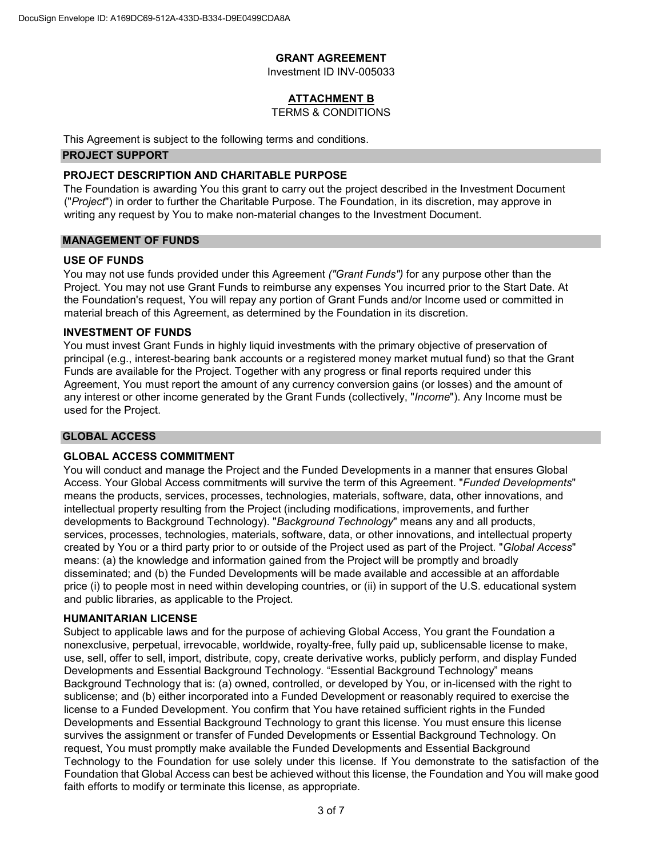# **GRANT AGREEMENT**

Investment ID INV-005033

# **ATTACHMENT B**

#### TERMS & CONDITIONS

This Agreement is subject to the following terms and conditions.

# **PROJECT SUPPORT**

# **PROJECT DESCRIPTION AND CHARITABLE PURPOSE**

The Foundation is awarding You this grant to carry out the project described in the Investment Document ("*Project*") in order to further the Charitable Purpose. The Foundation, in its discretion, may approve in writing any request by You to make non-material changes to the Investment Document.

#### **MANAGEMENT OF FUNDS**

#### **USE OF FUNDS**

You may not use funds provided under this Agreement *("Grant Funds")* for any purpose other than the Project. You may not use Grant Funds to reimburse any expenses You incurred prior to the Start Date. At the Foundation's request, You will repay any portion of Grant Funds and/or Income used or committed in material breach of this Agreement, as determined by the Foundation in its discretion.

#### **INVESTMENT OF FUNDS**

You must invest Grant Funds in highly liquid investments with the primary objective of preservation of principal (e.g., interest-bearing bank accounts or a registered money market mutual fund) so that the Grant Funds are available for the Project. Together with any progress or final reports required under this Agreement, You must report the amount of any currency conversion gains (or losses) and the amount of any interest or other income generated by the Grant Funds (collectively, "*Income*"). Any Income must be used for the Project.

#### **GLOBAL ACCESS**

#### **GLOBAL ACCESS COMMITMENT**

You will conduct and manage the Project and the Funded Developments in a manner that ensures Global Access. Your Global Access commitments will survive the term of this Agreement. "*Funded Developments*" means the products, services, processes, technologies, materials, software, data, other innovations, and intellectual property resulting from the Project (including modifications, improvements, and further developments to Background Technology). "*Background Technology*" means any and all products, services, processes, technologies, materials, software, data, or other innovations, and intellectual property created by You or a third party prior to or outside of the Project used as part of the Project. "*Global Access*" means: (a) the knowledge and information gained from the Project will be promptly and broadly disseminated; and (b) the Funded Developments will be made available and accessible at an affordable price (i) to people most in need within developing countries, or (ii) in support of the U.S. educational system and public libraries, as applicable to the Project.

# **HUMANITARIAN LICENSE**

Subject to applicable laws and for the purpose of achieving Global Access, You grant the Foundation a nonexclusive, perpetual, irrevocable, worldwide, royalty-free, fully paid up, sublicensable license to make, use, sell, offer to sell, import, distribute, copy, create derivative works, publicly perform, and display Funded Developments and Essential Background Technology. "Essential Background Technology" means Background Technology that is: (a) owned, controlled, or developed by You, or in-licensed with the right to sublicense; and (b) either incorporated into a Funded Development or reasonably required to exercise the license to a Funded Development. You confirm that You have retained sufficient rights in the Funded Developments and Essential Background Technology to grant this license. You must ensure this license survives the assignment or transfer of Funded Developments or Essential Background Technology. On request, You must promptly make available the Funded Developments and Essential Background Technology to the Foundation for use solely under this license. If You demonstrate to the satisfaction of the Foundation that Global Access can best be achieved without this license, the Foundation and You will make good faith efforts to modify or terminate this license, as appropriate.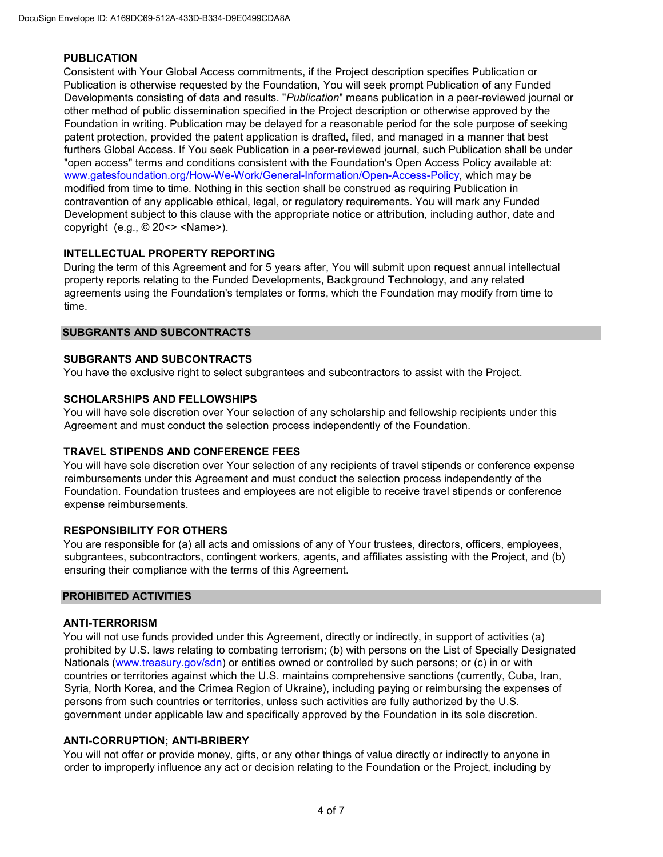#### **PUBLICATION**

Consistent with Your Global Access commitments, if the Project description specifies Publication or Publication is otherwise requested by the Foundation, You will seek prompt Publication of any Funded Developments consisting of data and results. "*Publication*" means publication in a peer-reviewed journal or other method of public dissemination specified in the Project description or otherwise approved by the Foundation in writing. Publication may be delayed for a reasonable period for the sole purpose of seeking patent protection, provided the patent application is drafted, filed, and managed in a manner that best furthers Global Access. If You seek Publication in a peer-reviewed journal, such Publication shall be under "open access" terms and conditions consistent with the Foundation's Open Access Policy available at[:](http://www.gatesfoundation.org/How-We-Work/General-Information/Open-Access-Policy) [www.gatesfoundation.org/How-We-Work/General-Information/Open-Access-Policy,](http://www.gatesfoundation.org/How-We-Work/General-Information/Open-Access-Policy) which may be modified from time to time. Nothing in this section shall be construed as requiring Publication in contravention of any applicable ethical, legal, or regulatory requirements. You will mark any Funded Development subject to this clause with the appropriate notice or attribution, including author, date and copyright (e.g., © 20<> <Name>).

# **INTELLECTUAL PROPERTY REPORTING**

During the term of this Agreement and for 5 years after, You will submit upon request annual intellectual property reports relating to the Funded Developments, Background Technology, and any related agreements using the Foundation's templates or forms, which the Foundation may modify from time to time.

#### **SUBGRANTS AND SUBCONTRACTS**

# **SUBGRANTS AND SUBCONTRACTS**

You have the exclusive right to select subgrantees and subcontractors to assist with the Project.

# **SCHOLARSHIPS AND FELLOWSHIPS**

You will have sole discretion over Your selection of any scholarship and fellowship recipients under this Agreement and must conduct the selection process independently of the Foundation.

#### **TRAVEL STIPENDS AND CONFERENCE FEES**

You will have sole discretion over Your selection of any recipients of travel stipends or conference expense reimbursements under this Agreement and must conduct the selection process independently of the Foundation. Foundation trustees and employees are not eligible to receive travel stipends or conference expense reimbursements.

#### **RESPONSIBILITY FOR OTHERS**

You are responsible for (a) all acts and omissions of any of Your trustees, directors, officers, employees, subgrantees, subcontractors, contingent workers, agents, and affiliates assisting with the Project, and (b) ensuring their compliance with the terms of this Agreement.

#### **PROHIBITED ACTIVITIES**

#### **ANTI-TERRORISM**

You will not use funds provided under this Agreement, directly or indirectly, in support of activities (a) prohibited by U.S. laws relating to combating terrorism; (b) with persons on the List of Specially Designated Nationals [\(www.treasury.gov/sdn\)](http://www.treasury.gov/sdn) or entities owned or controlled by such persons; or (c) in or with countries or territories against which the U.S. maintains comprehensive sanctions (currently, Cuba, Iran, Syria, North Korea, and the Crimea Region of Ukraine), including paying or reimbursing the expenses of persons from such countries or territories, unless such activities are fully authorized by the U.S. government under applicable law and specifically approved by the Foundation in its sole discretion.

#### **ANTI-CORRUPTION; ANTI-BRIBERY**

You will not offer or provide money, gifts, or any other things of value directly or indirectly to anyone in order to improperly influence any act or decision relating to the Foundation or the Project, including by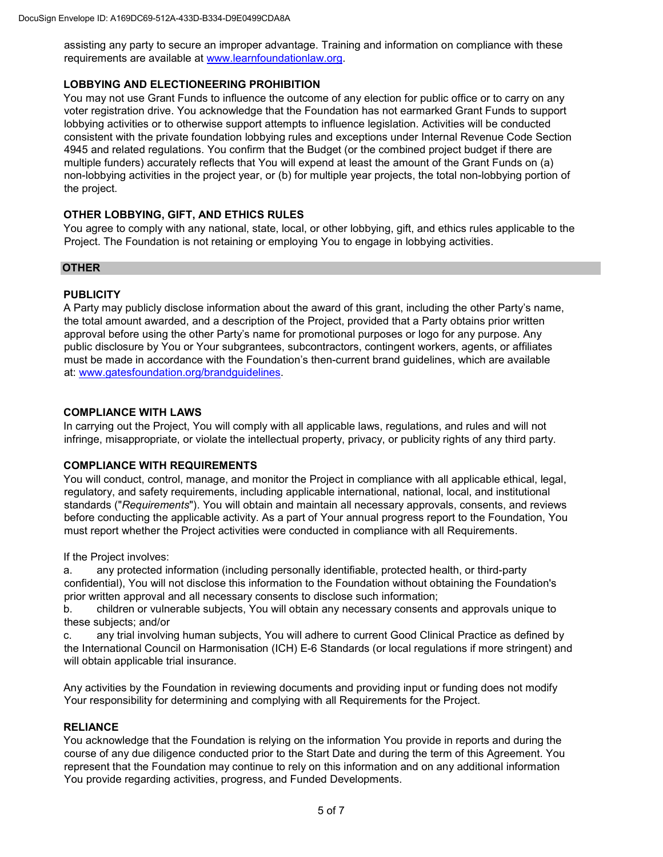assisting any party to secure an improper advantage. Training and information on compliance with these requirements are available at [www.learnfoundationlaw.org.](http://www.learnfoundationlaw.org/)

# **LOBBYING AND ELECTIONEERING PROHIBITION**

You may not use Grant Funds to influence the outcome of any election for public office or to carry on any voter registration drive. You acknowledge that the Foundation has not earmarked Grant Funds to support lobbying activities or to otherwise support attempts to influence legislation. Activities will be conducted consistent with the private foundation lobbying rules and exceptions under Internal Revenue Code Section 4945 and related regulations. You confirm that the Budget (or the combined project budget if there are multiple funders) accurately reflects that You will expend at least the amount of the Grant Funds on (a) non-lobbying activities in the project year, or (b) for multiple year projects, the total non-lobbying portion of the project.

# **OTHER LOBBYING, GIFT, AND ETHICS RULES**

You agree to comply with any national, state, local, or other lobbying, gift, and ethics rules applicable to the Project. The Foundation is not retaining or employing You to engage in lobbying activities.

#### **OTHER**

# **PUBLICITY**

A Party may publicly disclose information about the award of this grant, including the other Party's name, the total amount awarded, and a description of the Project, provided that a Party obtains prior written approval before using the other Party's name for promotional purposes or logo for any purpose. Any public disclosure by You or Your subgrantees, subcontractors, contingent workers, agents, or affiliates must be made in accordance with the Foundation's then-current brand guidelines, which are available at[:](http://www.gatesfoundation.org/brandguidelines) [www.gatesfoundation.org/brandguidelines.](http://www.gatesfoundation.org/brandguidelines)

# **COMPLIANCE WITH LAWS**

In carrying out the Project, You will comply with all applicable laws, regulations, and rules and will not infringe, misappropriate, or violate the intellectual property, privacy, or publicity rights of any third party.

#### **COMPLIANCE WITH REQUIREMENTS**

You will conduct, control, manage, and monitor the Project in compliance with all applicable ethical, legal, regulatory, and safety requirements, including applicable international, national, local, and institutional standards ("*Requirements*"). You will obtain and maintain all necessary approvals, consents, and reviews before conducting the applicable activity. As a part of Your annual progress report to the Foundation, You must report whether the Project activities were conducted in compliance with all Requirements.

If the Project involves:

a. any protected information (including personally identifiable, protected health, or third-party confidential), You will not disclose this information to the Foundation without obtaining the Foundation's prior written approval and all necessary consents to disclose such information;

b. children or vulnerable subjects, You will obtain any necessary consents and approvals unique to these subjects; and/or

c. any trial involving human subjects, You will adhere to current Good Clinical Practice as defined by the International Council on Harmonisation (ICH) E-6 Standards (or local regulations if more stringent) and will obtain applicable trial insurance.

Any activities by the Foundation in reviewing documents and providing input or funding does not modify Your responsibility for determining and complying with all Requirements for the Project.

#### **RELIANCE**

You acknowledge that the Foundation is relying on the information You provide in reports and during the course of any due diligence conducted prior to the Start Date and during the term of this Agreement. You represent that the Foundation may continue to rely on this information and on any additional information You provide regarding activities, progress, and Funded Developments.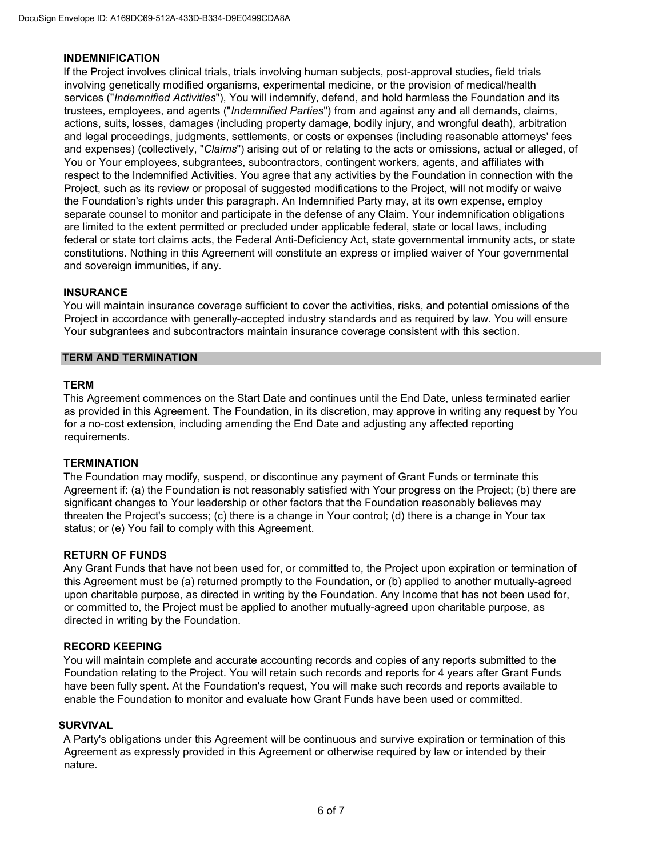#### **INDEMNIFICATION**

If the Project involves clinical trials, trials involving human subjects, post-approval studies, field trials involving genetically modified organisms, experimental medicine, or the provision of medical/health services ("*Indemnified Activities*"), You will indemnify, defend, and hold harmless the Foundation and its trustees, employees, and agents ("*Indemnified Parties*") from and against any and all demands, claims, actions, suits, losses, damages (including property damage, bodily injury, and wrongful death), arbitration and legal proceedings, judgments, settlements, or costs or expenses (including reasonable attorneys' fees and expenses) (collectively, "*Claims*") arising out of or relating to the acts or omissions, actual or alleged, of You or Your employees, subgrantees, subcontractors, contingent workers, agents, and affiliates with respect to the Indemnified Activities. You agree that any activities by the Foundation in connection with the Project, such as its review or proposal of suggested modifications to the Project, will not modify or waive the Foundation's rights under this paragraph. An Indemnified Party may, at its own expense, employ separate counsel to monitor and participate in the defense of any Claim. Your indemnification obligations are limited to the extent permitted or precluded under applicable federal, state or local laws, including federal or state tort claims acts, the Federal Anti-Deficiency Act, state governmental immunity acts, or state constitutions. Nothing in this Agreement will constitute an express or implied waiver of Your governmental and sovereign immunities, if any.

#### **INSURANCE**

You will maintain insurance coverage sufficient to cover the activities, risks, and potential omissions of the Project in accordance with generally-accepted industry standards and as required by law. You will ensure Your subgrantees and subcontractors maintain insurance coverage consistent with this section.

#### **TERM AND TERMINATION**

#### **TERM**

This Agreement commences on the Start Date and continues until the End Date, unless terminated earlier as provided in this Agreement. The Foundation, in its discretion, may approve in writing any request by You for a no-cost extension, including amending the End Date and adjusting any affected reporting requirements.

#### **TERMINATION**

The Foundation may modify, suspend, or discontinue any payment of Grant Funds or terminate this Agreement if: (a) the Foundation is not reasonably satisfied with Your progress on the Project; (b) there are significant changes to Your leadership or other factors that the Foundation reasonably believes may threaten the Project's success; (c) there is a change in Your control; (d) there is a change in Your tax status; or (e) You fail to comply with this Agreement.

#### **RETURN OF FUNDS**

Any Grant Funds that have not been used for, or committed to, the Project upon expiration or termination of this Agreement must be (a) returned promptly to the Foundation, or (b) applied to another mutually-agreed upon charitable purpose, as directed in writing by the Foundation. Any Income that has not been used for, or committed to, the Project must be applied to another mutually-agreed upon charitable purpose, as directed in writing by the Foundation.

#### **RECORD KEEPING**

You will maintain complete and accurate accounting records and copies of any reports submitted to the Foundation relating to the Project. You will retain such records and reports for 4 years after Grant Funds have been fully spent. At the Foundation's request, You will make such records and reports available to enable the Foundation to monitor and evaluate how Grant Funds have been used or committed.

#### **SURVIVAL**

A Party's obligations under this Agreement will be continuous and survive expiration or termination of this Agreement as expressly provided in this Agreement or otherwise required by law or intended by their nature.